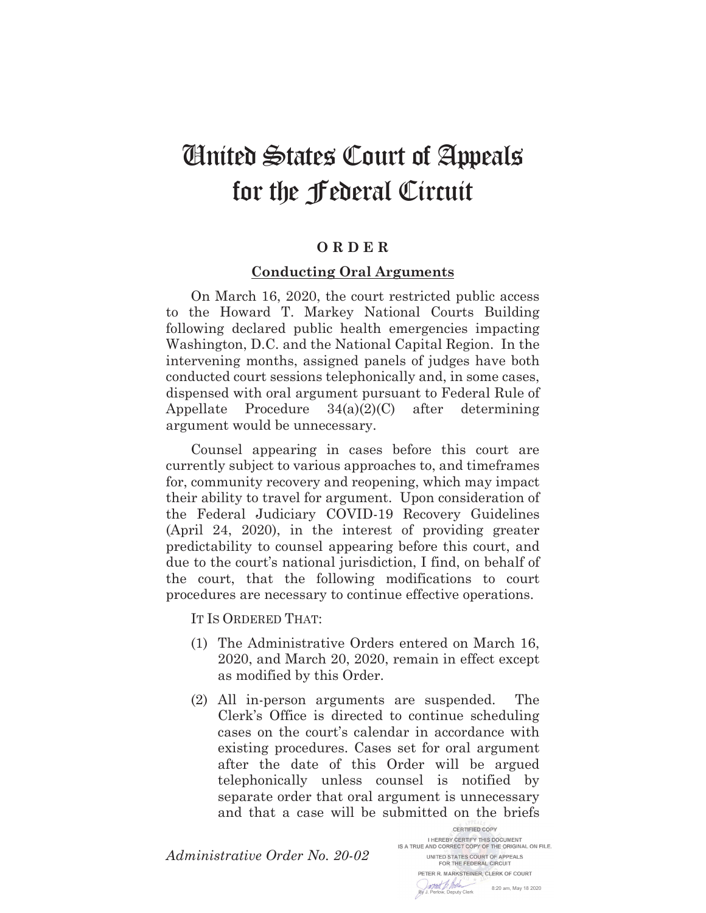## United States Court of Appeals for the Federal Circuit

## **O R D E R**

## **Conducting Oral Arguments**

On March 16, 2020, the court restricted public access to the Howard T. Markey National Courts Building following declared public health emergencies impacting Washington, D.C. and the National Capital Region. In the intervening months, assigned panels of judges have both conducted court sessions telephonically and, in some cases, dispensed with oral argument pursuant to Federal Rule of Appellate Procedure 34(a)(2)(C) after determining argument would be unnecessary.

Counsel appearing in cases before this court are currently subject to various approaches to, and timeframes for, community recovery and reopening, which may impact their ability to travel for argument. Upon consideration of the Federal Judiciary COVID-19 Recovery Guidelines (April 24, 2020), in the interest of providing greater predictability to counsel appearing before this court, and due to the court's national jurisdiction, I find, on behalf of the court, that the following modifications to court procedures are necessary to continue effective operations.

IT IS ORDERED THAT:

- (1) The Administrative Orders entered on March 16, 2020, and March 20, 2020, remain in effect except as modified by this Order.
- (2) All in-person arguments are suspended. The Clerk's Office is directed to continue scheduling cases on the court's calendar in accordance with existing procedures. Cases set for oral argument after the date of this Order will be argued telephonically unless counsel is notified by separate order that oral argument is unnecessary and that a case will be submitted on the briefs

*Administrative Order No. 20-02*